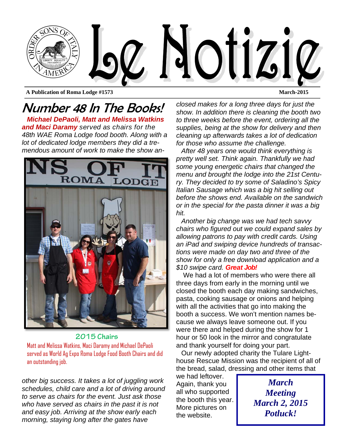

**A Publication of Roma Lodge #1573 March-2015** 

Number 48 In The Books! *Michael DePaoli, Matt and Melissa Watkins and Maci Daramy served as chairs for the 48th WAE Roma Lodge food booth. Along with a lot of dedicated lodge members they did a tremendous amount of work to make the show an-*



#### **2015 Chairs**  Matt and Melissa Watkins, Maci Daramy and Michael DePaoli served as World Ag Expo Roma Lodge Food Booth Chairs and did an outstanding job.

*other big success. It takes a lot of juggling work schedules, child care and a lot of driving around to serve as chairs for the event. Just ask those who have served as chairs in the past it is not and easy job. Arriving at the show early each morning, staying long after the gates have* 

*closed makes for a long three days for just the show. In addition there is cleaning the booth two to three weeks before the event, ordering all the supplies, being at the show for delivery and then cleaning up afterwards takes a lot of dedication for those who assume the challenge.* 

*After 48 years one would think everything is pretty well set. Think again. Thankfully we had some young energetic chairs that changed the menu and brought the lodge into the 21st Century. They decided to try some of Saladino's Spicy Italian Sausage which was a big hit selling out before the shows end. Available on the sandwich or in the special for the pasta dinner it was a big hit.* 

*Another big change was we had tech savvy chairs who figured out we could expand sales by allowing patrons to pay with credit cards. Using an iPad and swiping device hundreds of transactions were made on day two and three of the show for only a free download application and a \$10 swipe card. Great Job!*

We had a lot of members who were there all three days from early in the morning until we closed the booth each day making sandwiches, pasta, cooking sausage or onions and helping with all the activities that go into making the booth a success. We won't mention names because we always leave someone out. If you were there and helped during the show for 1 hour or 50 look in the mirror and congratulate and thank yourself for doing your part.

Our newly adopted charity the Tulare Lighthouse Rescue Mission was the recipient of all of the bread, salad, dressing and other items that

we had leftover. Again, thank you all who supported the booth this year. More pictures on the website.

*March Meeting March 2, 2015 Potluck!*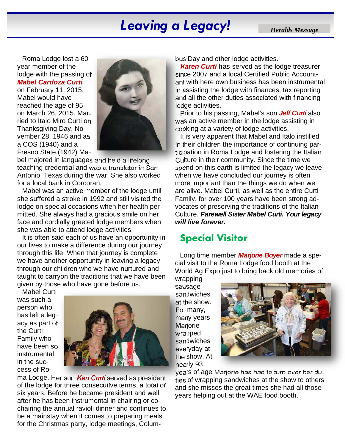# **Leaving a Legacy!** *Heralds Message*

Roma Lodge lost a 60 year member of the lodge with the passing of *Mabel Cardoza Curti*

on February 11, 2015. Mabel would have reached the age of 95 on March 26, 2015. Married to Italo Miro Curti on Thanksgiving Day, November 28, 1946 and as a COS (1940) and a Fresno State (1942) Ma-



bel majored in languages and held a lifelong teaching credential and was a translator in San Antonio, Texas during the war. She also worked for a local bank in Corcoran.

Mabel was an active member of the lodge until she suffered a stroke in 1992 and still visited the lodge on special occasions when her health permitted. She always had a gracious smile on her face and cordially greeted lodge members when she was able to attend lodge activities.

It is often said each of us have an opportunity in our lives to make a difference during our journey through this life. When that journey is complete we have another opportunity in leaving a legacy through our children who we have nurtured and taught to carryon the traditions that we have been given by those who have gone before us.

Mabel Curti was such a person who has left a legacy as part of the Curti Family who have been so instrumental in the success of Ro-



ma Lodge. Her son *Ken Curti* served as president of the lodge for three consecutive terms, a total of six years. Before he became president and well after he has been instrumental in chairing or cochairing the annual ravioli dinner and continues to be a mainstay when it comes to preparing meals for the Christmas party, lodge meetings, Columbus Day and other lodge activities.

*Karen Curti* has served as the lodge treasurer since 2007 and a local Certified Public Accountant with here own business has been instrumental in assisting the lodge with finances, tax reporting and all the other duties associated with financing lodge activities.

Prior to his passing, Mabel's son *Jeff Curti* also was an active member in the lodge assisting in cooking at a variety of lodge activities.

It is very apparent that Mabel and Italo instilled in their children the importance of continuing participation in Roma Lodge and fostering the Italian Culture in their community. Since the time we spend on this earth is limited the legacy we leave when we have concluded our journey is often more important than the things we do when we are alive. Mabel Curti, as well as the entire Curti Family, for over 100 years have been strong advocates of preserving the traditions of the Italian Culture. *Farewell Sister Mabel Curti. Your legacy will live forever.*

# **Special Visitor**

Long time member *Marjorie Boyer* made a special visit to the Roma Lodge food booth at the World Ag Expo just to bring back old memories of

wrapping sausage sandwiches at the show. For many, many years **Marjorie** wrapped sandwiches everyday at the show. At nearly 93



years of age Marjorie has had to turn over her duties of wrapping sandwiches at the show to others and she misses the great times she had all those years helping out at the WAE food booth.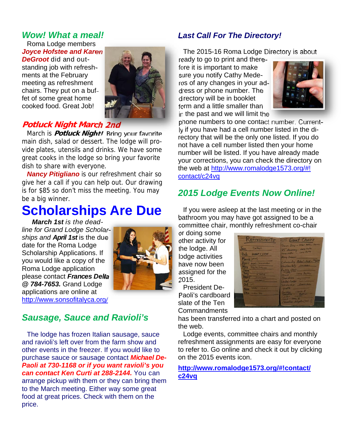### *Wow! What a meal!*

Roma Lodge members *Joyce Hofstee and Karen DeGroot* did and outstanding job with refreshments at the February meeting as refreshment chairs. They put on a buffet of some great home cooked food. Great Job!



## **Potluck Night March 2nd**

March is **Potluck Night!** Bring your favorite main dish, salad or dessert. The lodge will provide plates, utensils and drinks. We have some great cooks in the lodge so bring your favorite dish to share with everyone.

*Nancy Pitigliano* is our refreshment chair so give her a call if you can help out. Our drawing is for \$85 so don't miss the meeting. You may be a big winner.

# **Scholarships Are Due**

*March 1st is the deadline for Grand Lodge Scholarships and April 1st* is the due date for the Roma Lodge Scholarship Applications. If you would like a copy of the Roma Lodge application please contact *Frances Della @ 784-7653.* Grand Lodge applications are online at http://www.sonsofitalyca.org/



## *Sausage, Sauce and Ravioli's*

The lodge has frozen Italian sausage, sauce and ravioli's left over from the farm show and other events in the freezer. If you would like to purchase sauce or sausage contact *Michael De-Paoli at 730-1168 or if you want ravioli's you can contact Ken Curti at 288-2144.* You can arrange pickup with them or they can bring them to the March meeting. Either way some great food at great prices. Check with them on the price.

#### *Last Call For The Directory!*

The 2015-16 Roma Lodge Directory is about

ready to go to print and therefore it is important to make sure you notify Cathy Mederos of any changes in your address or phone number. The directory will be in booklet form and a little smaller than in the past and we will limit the



phone numbers to one contact number. Currently if you have had a cell number listed in the directory that will be the only one listed. If you do not have a cell number listed then your home number will be listed. If you have already made your corrections, you can check the directory on the web at http://www.romalodge1573.org/#! contact/c24vq

# *2015 Lodge Events Now Online!*

If you were asleep at the last meeting or in the bathroom you may have got assigned to be a committee chair, monthly refreshment co-chair

or doing some other activity for the lodge. All lodge activities have now been assigned for the 2015.

President De-Paoli's cardboard slate of the Ten Commandments



has been transferred into a chart and posted on the web.

Lodge events, committee chairs and monthly refreshment assignments are easy for everyone to refer to. Go online and check it out by clicking on the 2015 events icon.

#### **http://www.romalodge1573.org/#!contact/ c24vq**